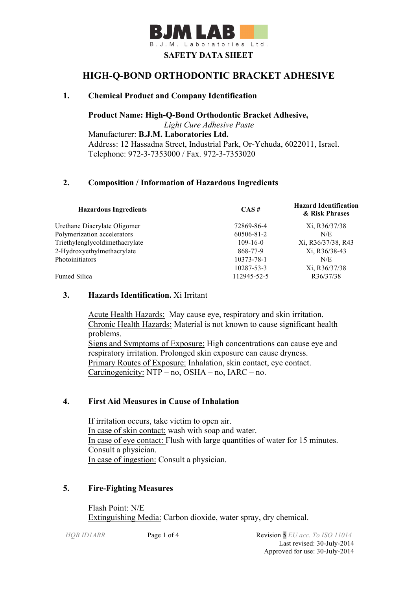

# **HIGH-Q-BOND ORTHODONTIC BRACKET ADHESIVE**

## **1. Chemical Product and Company Identification**

**Product Name: High-Q-Bond Orthodontic Bracket Adhesive,**  *Light Cure Adhesive Paste* Manufacturer: **B.J.M. Laboratories Ltd.** Address: 12 Hassadna Street, Industrial Park, Or-Yehuda, 6022011, Israel. Telephone: 972-3-7353000 / Fax. 972-3-7353020

## **2. Composition / Information of Hazardous Ingredients**

| <b>Hazardous Ingredients</b>   | $CAS \#$       | <b>Hazard Identification</b><br>& Risk Phrases |
|--------------------------------|----------------|------------------------------------------------|
| Urethane Diacrylate Oligomer   | 72869-86-4     | Xi, R36/37/38                                  |
| Polymerization accelerators    | 60506-81-2     | N/E                                            |
| Triethylenglycoldimethacrylate | $109 - 16 - 0$ | Xi, R36/37/38, R43                             |
| 2-Hydroxyethylmethacrylate     | 868-77-9       | Xi, R36/38-43                                  |
| Photoinitiators                | 10373-78-1     | N/E                                            |
|                                | 10287-53-3     | Xi, R36/37/38                                  |
| <b>Fumed Silica</b>            | 112945-52-5    | R36/37/38                                      |

#### **3. Hazards Identification.** Xi Irritant

Acute Health Hazards: May cause eye, respiratory and skin irritation. Chronic Health Hazards: Material is not known to cause significant health problems. Signs and Symptoms of Exposure: High concentrations can cause eye and respiratory irritation. Prolonged skin exposure can cause dryness. Primary Routes of Exposure: Inhalation, skin contact, eye contact. Carcinogenicity: NTP – no, OSHA – no, IARC – no.

## **4. First Aid Measures in Cause of Inhalation**

 If irritation occurs, take victim to open air. In case of skin contact: wash with soap and water. In case of eye contact: Flush with large quantities of water for 15 minutes. Consult a physician. In case of ingestion: Consult a physician.

#### **5. Fire-Fighting Measures**

Flash Point: N/E Extinguishing Media: Carbon dioxide, water spray, dry chemical.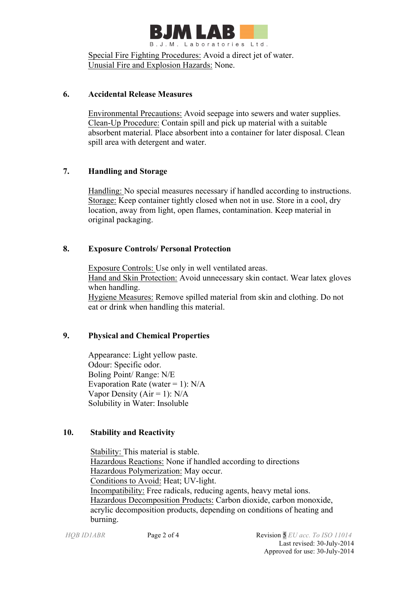

Special Fire Fighting Procedures: Avoid a direct jet of water. Unusial Fire and Explosion Hazards: None.

### **6. Accidental Release Measures**

 Environmental Precautions: Avoid seepage into sewers and water supplies. Clean-Up Procedure: Contain spill and pick up material with a suitable absorbent material. Place absorbent into a container for later disposal. Clean spill area with detergent and water.

## **7. Handling and Storage**

 Handling: No special measures necessary if handled according to instructions. Storage: Keep container tightly closed when not in use. Store in a cool, dry location, away from light, open flames, contamination. Keep material in original packaging.

## **8. Exposure Controls/ Personal Protection**

 Exposure Controls: Use only in well ventilated areas. Hand and Skin Protection: Avoid unnecessary skin contact. Wear latex gloves when handling. Hygiene Measures: Remove spilled material from skin and clothing. Do not eat or drink when handling this material.

## **9. Physical and Chemical Properties**

Appearance: Light yellow paste. Odour: Specific odor. Boling Point/ Range: N/E Evaporation Rate (water = 1):  $N/A$ Vapor Density ( $Air = 1$ ):  $N/A$ Solubility in Water: Insoluble

## **10. Stability and Reactivity**

 Stability: This material is stable. Hazardous Reactions: None if handled according to directions Hazardous Polymerization: May occur. Conditions to Avoid: Heat; UV-light. Incompatibility: Free radicals, reducing agents, heavy metal ions. Hazardous Decomposition Products: Carbon dioxide, carbon monoxide, acrylic decomposition products, depending on conditions of heating and burning.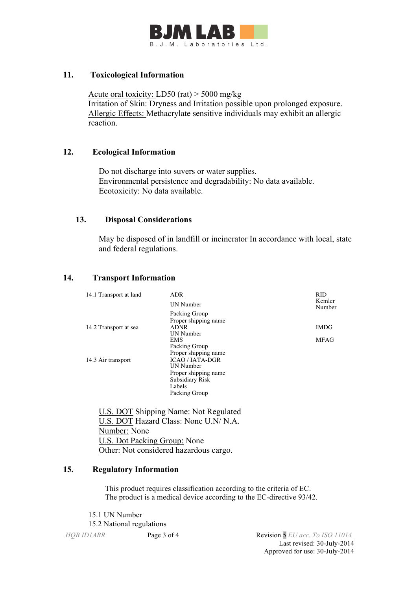

### **11. Toxicological Information**

Acute oral toxicity: LD50 (rat) > 5000 mg/kg Irritation of Skin: Dryness and Irritation possible upon prolonged exposure. Allergic Effects: Methacrylate sensitive individuals may exhibit an allergic reaction.

#### **12. Ecological Information**

 Do not discharge into suvers or water supplies. Environmental persistence and degradability: No data available. Ecotoxicity: No data available.

#### **13. Disposal Considerations**

 May be disposed of in landfill or incinerator In accordance with local, state and federal regulations.

### **14. Transport Information**

| 14.1 Transport at land | <b>ADR</b><br><b>UN Number</b>  | <b>RID</b><br>Kemler |
|------------------------|---------------------------------|----------------------|
|                        |                                 | Number               |
|                        | Packing Group                   |                      |
|                        | Proper shipping name            |                      |
| 14.2 Transport at sea  | <b>ADNR</b><br><b>UN Number</b> | <b>IMDG</b>          |
|                        | EMS                             | MFAG                 |
|                        | Packing Group                   |                      |
|                        | Proper shipping name            |                      |
| 14.3 Air transport     | <b>ICAO / IATA-DGR</b>          |                      |
|                        | <b>UN Number</b>                |                      |
|                        | Proper shipping name            |                      |
|                        | Subsidiary Risk                 |                      |
|                        | Labels                          |                      |
|                        | Packing Group                   |                      |
|                        |                                 |                      |

 U.S. DOT Shipping Name: Not Regulated U.S. DOT Hazard Class: None U.N/ N.A. Number: None U.S. Dot Packing Group: None Other: Not considered hazardous cargo.

## **15. Regulatory Information**

This product requires classification according to the criteria of EC. The product is a medical device according to the EC-directive 93/42.

15.1 UN Number 15.2 National regulations

*HQB ID1ABR* Page 3 of 4 Revision 5 *EU acc. To ISO 11014* Last revised: 30-July-2014 Approved for use: 30-July-2014